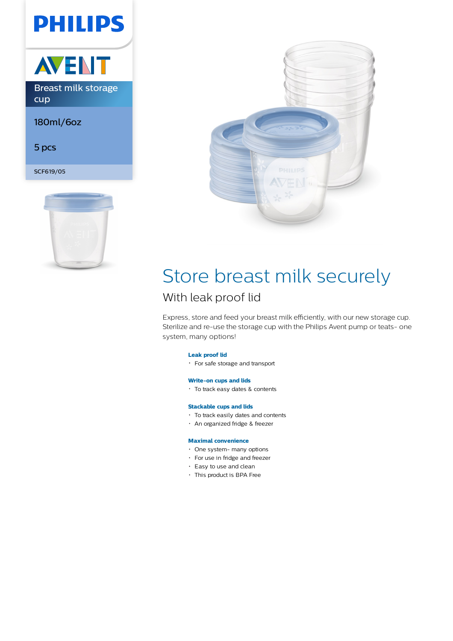## **PHILIPS**



180ml/6oz

5 pcs

SCF619/05





# Store breast milk securely

### With leak proof lid

Express, store and feed your breast milk efficiently, with our new storage cup. Sterilize and re-use the storage cup with the Philips Avent pump or teats- one system, many options!

#### **Leak proof lid**

For safe storage and transport

#### **Write-on cups and lids**

To track easy dates & contents

#### **Stackable cups and lids**

- To track easily dates and contents
- An organized fridge & freezer

#### **Maximal convenience**

- One system- many options
- For use in fridge and freezer
- Easy to use and clean
- This product is BPA Free